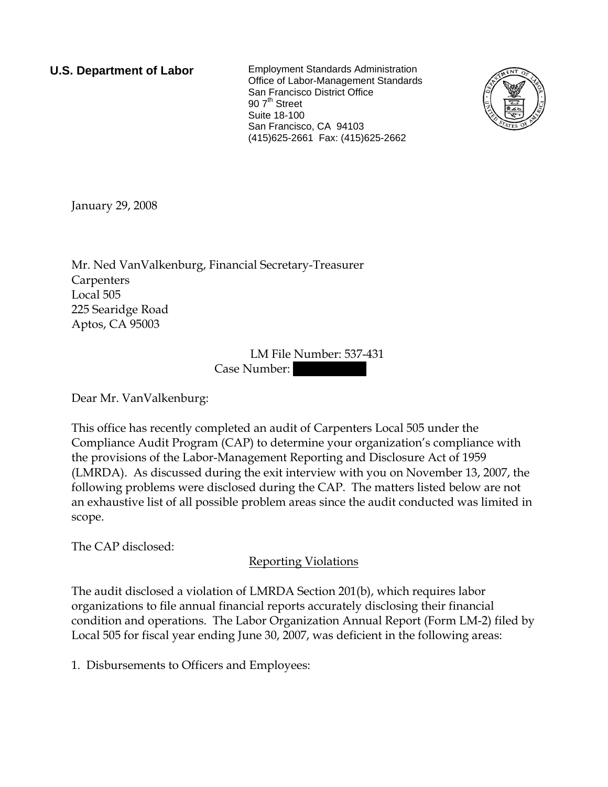**U.S. Department of Labor** Employment Standards Administration Office of Labor-Management Standards San Francisco District Office 90 7<sup>th</sup> Street Suite 18-100 San Francisco, CA 94103 (415)625-2661 Fax: (415)625-2662



January 29, 2008

Mr. Ned VanValkenburg, Financial Secretary-Treasurer **Carpenters** Local 505 225 Searidge Road Aptos, CA 95003

> LM File Number: 537-431 Case Number:

Dear Mr. VanValkenburg:

This office has recently completed an audit of Carpenters Local 505 under the Compliance Audit Program (CAP) to determine your organization's compliance with the provisions of the Labor-Management Reporting and Disclosure Act of 1959 (LMRDA). As discussed during the exit interview with you on November 13, 2007, the following problems were disclosed during the CAP. The matters listed below are not an exhaustive list of all possible problem areas since the audit conducted was limited in scope.

The CAP disclosed:

## Reporting Violations

The audit disclosed a violation of LMRDA Section 201(b), which requires labor organizations to file annual financial reports accurately disclosing their financial condition and operations. The Labor Organization Annual Report (Form LM-2) filed by Local 505 for fiscal year ending June 30, 2007, was deficient in the following areas:

1. Disbursements to Officers and Employees: